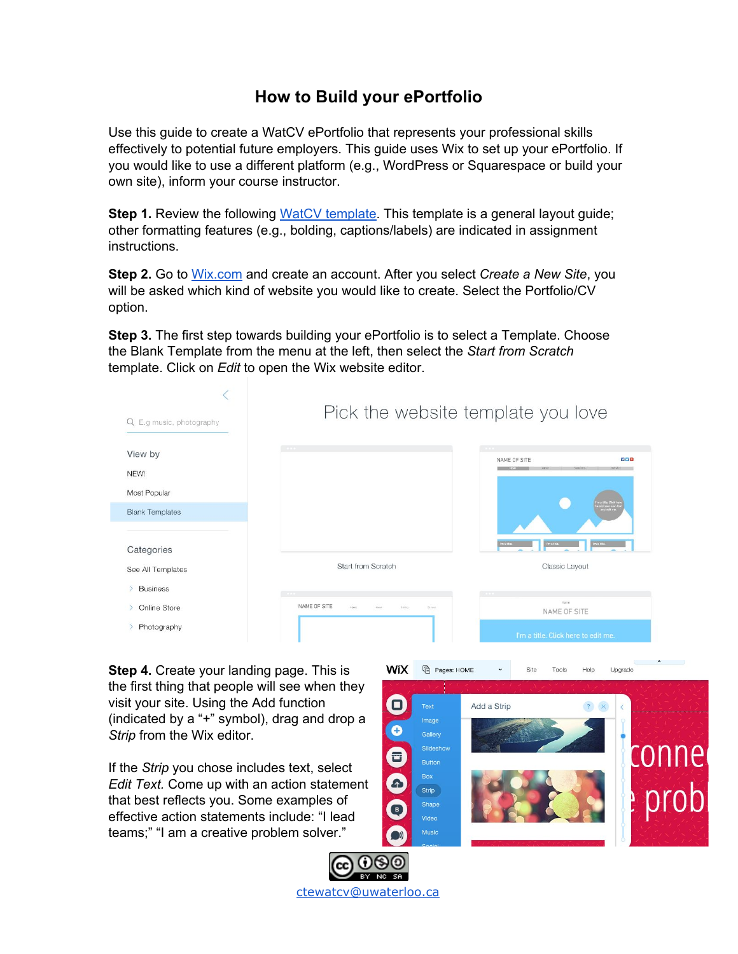## **How to Build your ePortfolio**

Use this guide to create a WatCV ePortfolio that represents your professional skills effectively to potential future employers. This guide uses Wix to set up your ePortfolio. If you would like to use a different platform (e.g., WordPress or Squarespace or build your own site), inform your course instructor.

**Step 1.** Review the following WatCV [template](http://daniellejuneau.wixsite.com/watcv-template). This template is a general layout guide; other formatting features (e.g., bolding, captions/labels) are indicated in assignment instructions.

**Step 2.** Go to [Wix.com](http://www.wix.com/) and create an account. After you select *Create a New Site*, you will be asked which kind of website you would like to create. Select the Portfolio/CV option.

**Step 3.** The first step towards building your ePortfolio is to select a Template. Choose the Blank Template from the menu at the left, then select the *Start from Scratch* template. Click on *Edit* to open the Wix website editor.



WiX

Pages: HOME

 $\check{~}$ 

Site

Tools

Help

Upgrade

**Step 4.** Create your landing page. This is the first thing that people will see when they visit your site. Using the Add function (indicated by a "+" symbol), drag and drop a *Strip* from the Wix editor.

If the *Strip* you chose includes text, select *Edit Text.* Come up with an action statement that best reflects you. Some examples of effective action statements include: "I lead teams;" "I am a creative problem solver."



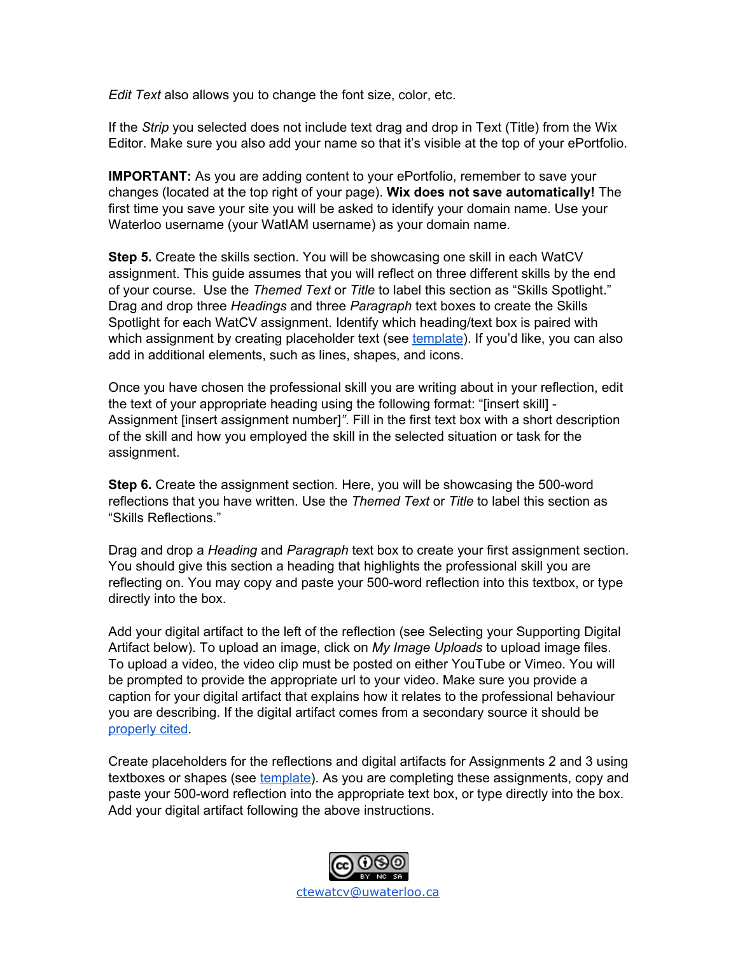*Edit Text* also allows you to change the font size, color, etc.

If the *Strip* you selected does not include text drag and drop in Text (Title) from the Wix Editor. Make sure you also add your name so that it's visible at the top of your ePortfolio.

**IMPORTANT:** As you are adding content to your ePortfolio, remember to save your changes (located at the top right of your page). **Wix does not save automatically!** The first time you save your site you will be asked to identify your domain name. Use your Waterloo username (your WatIAM username) as your domain name.

**Step 5.** Create the skills section. You will be showcasing one skill in each WatCV assignment. This guide assumes that you will reflect on three different skills by the end of your course. Use the *Themed Text* or *Title* to label this section as "Skills Spotlight." Drag and drop three *Headings* and three *Paragraph* text boxes to create the Skills Spotlight for each WatCV assignment. Identify which heading/text box is paired with which assignment by creating placeholder text (see [template\)](http://daniellejuneau.wixsite.com/watcv-template). If you'd like, you can also add in additional elements, such as lines, shapes, and icons.

Once you have chosen the professional skill you are writing about in your reflection, edit the text of your appropriate heading using the following format: "[insert skill] - Assignment [insert assignment number]*"*. Fill in the first text box with a short description of the skill and how you employed the skill in the selected situation or task for the assignment.

**Step 6.** Create the assignment section. Here, you will be showcasing the 500-word reflections that you have written. Use the *Themed Text* or *Title* to label this section as "Skills Reflections."

Drag and drop a *Heading* and *Paragraph* text box to create your first assignment section. You should give this section a heading that highlights the professional skill you are reflecting on. You may copy and paste your 500-word reflection into this textbox, or type directly into the box.

Add your digital artifact to the left of the reflection (see Selecting your Supporting Digital Artifact below). To upload an image, click on *My Image Uploads* to upload image files. To upload a video, the video clip must be posted on either YouTube or Vimeo. You will be prompted to provide the appropriate url to your video. Make sure you provide a caption for your digital artifact that explains how it relates to the professional behaviour you are describing. If the digital artifact comes from a secondary source it should be [properly](http://libguides.gwumc.edu/c.php?g=27779&p=170351) cited.

Create placeholders for the reflections and digital artifacts for Assignments 2 and 3 using textboxes or shapes (see [template](http://daniellejuneau.wixsite.com/watcv-template)). As you are completing these assignments, copy and paste your 500-word reflection into the appropriate text box, or type directly into the box. Add your digital artifact following the above instructions.

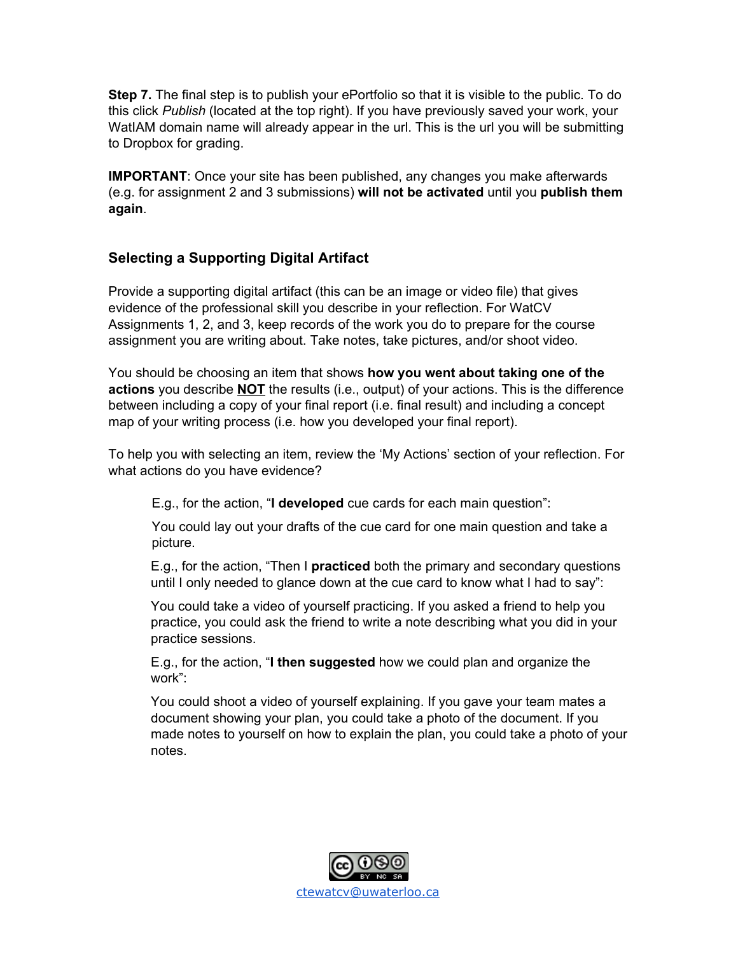**Step 7.** The final step is to publish your ePortfolio so that it is visible to the public. To do this click *Publish* (located at the top right). If you have previously saved your work, your WatIAM domain name will already appear in the url. This is the url you will be submitting to Dropbox for grading.

**IMPORTANT**: Once your site has been published, any changes you make afterwards (e.g. for assignment 2 and 3 submissions) **will not be activated** until you **publish them again**.

## **Selecting a Supporting Digital Artifact**

Provide a supporting digital artifact (this can be an image or video file) that gives evidence of the professional skill you describe in your reflection. For WatCV Assignments 1, 2, and 3, keep records of the work you do to prepare for the course assignment you are writing about. Take notes, take pictures, and/or shoot video.

You should be choosing an item that shows **how you went about taking one of the actions** you describe **NOT** the results (i.e., output) of your actions. This is the difference between including a copy of your final report (i.e. final result) and including a concept map of your writing process (i.e. how you developed your final report).

To help you with selecting an item, review the 'My Actions' section of your reflection. For what actions do you have evidence?

E.g., for the action, "**I developed** cue cards for each main question":

You could lay out your drafts of the cue card for one main question and take a picture.

E.g., for the action, "Then I **practiced** both the primary and secondary questions until I only needed to glance down at the cue card to know what I had to say":

You could take a video of yourself practicing. If you asked a friend to help you practice, you could ask the friend to write a note describing what you did in your practice sessions.

E.g., for the action, "**I then suggested** how we could plan and organize the work":

You could shoot a video of yourself explaining. If you gave your team mates a document showing your plan, you could take a photo of the document. If you made notes to yourself on how to explain the plan, you could take a photo of your notes.